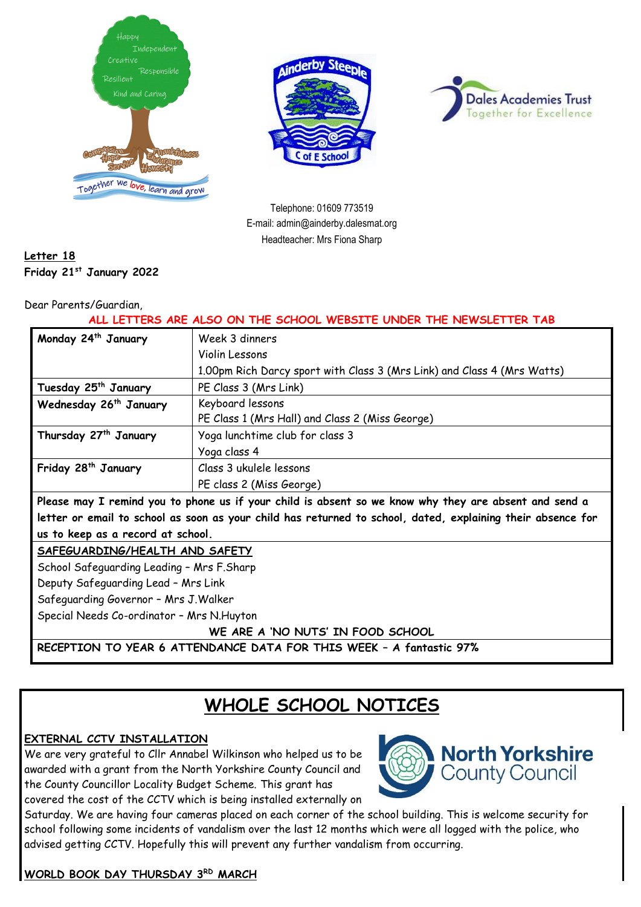





Telephone: 01609 773519 E-mail: admin@ainderby.dalesmat.org Headteacher: Mrs Fiona Sharp

## **Letter 18 Friday 21st January 2022**

#### Dear Parents/Guardian,

#### **ALL LETTERS ARE ALSO ON THE SCHOOL WEBSITE UNDER THE NEWSLETTER TAB**

| Monday 24 <sup>th</sup> January                                                                             | Week 3 dinners                                                          |
|-------------------------------------------------------------------------------------------------------------|-------------------------------------------------------------------------|
|                                                                                                             | Violin Lessons                                                          |
|                                                                                                             | 1.00pm Rich Darcy sport with Class 3 (Mrs Link) and Class 4 (Mrs Watts) |
| Tuesday 25 <sup>th</sup> January                                                                            | PE Class 3 (Mrs Link)                                                   |
| Wednesday 26 <sup>th</sup> January                                                                          | Keyboard lessons                                                        |
|                                                                                                             | PE Class 1 (Mrs Hall) and Class 2 (Miss George)                         |
| Thursday 27 <sup>th</sup> January                                                                           | Yoga lunchtime club for class 3                                         |
|                                                                                                             | Yoga class 4                                                            |
| Friday 28 <sup>th</sup> January                                                                             | Class 3 ukulele lessons                                                 |
|                                                                                                             | PE class 2 (Miss George)                                                |
| Please may I remind you to phone us if your child is absent so we know why they are absent and send a       |                                                                         |
| letter or email to school as soon as your child has returned to school, dated, explaining their absence for |                                                                         |
| us to keep as a record at school.                                                                           |                                                                         |
| SAFEGUARDING/HEALTH AND SAFETY                                                                              |                                                                         |
| School Safeguarding Leading - Mrs F.Sharp                                                                   |                                                                         |
| Deputy Safeguarding Lead - Mrs Link                                                                         |                                                                         |
| Safeguarding Governor - Mrs J. Walker                                                                       |                                                                         |
| Special Needs Co-ordinator - Mrs N. Huyton                                                                  |                                                                         |
| WE ARE A 'NO NUTS' IN FOOD SCHOOL                                                                           |                                                                         |
| RECEPTION TO YEAR 6 ATTENDANCE DATA FOR THIS WEEK - A fantastic 97%                                         |                                                                         |

# **WHOLE SCHOOL NOTICES**

## **EXTERNAL CCTV INSTALLATION**

We are very grateful to Cllr Annabel Wilkinson who helped us to be awarded with a grant from the North Yorkshire County Council and the County Councillor Locality Budget Scheme. This grant has covered the cost of the CCTV which is being installed externally on



Saturday. We are having four cameras placed on each corner of the school building. This is welcome security for school following some incidents of vandalism over the last 12 months which were all logged with the police, who advised getting CCTV. Hopefully this will prevent any further vandalism from occurring.

## **WORLD BOOK DAY THURSDAY 3RD MARCH**